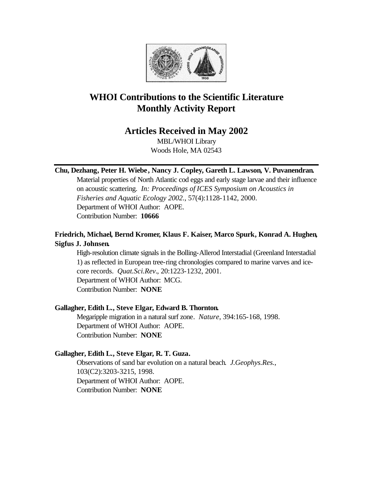

# **WHOI Contributions to the Scientific Literature Monthly Activity Report**

# **Articles Received in May 2002**

MBL/WHOI Library Woods Hole, MA 02543

# **Chu, Dezhang, Peter H. Wiebe, Nancy J. Copley, Gareth L. Lawson, V. Puvanendran.**

Material properties of North Atlantic cod eggs and early stage larvae and their influence on acoustic scattering. *In: Proceedings of ICES Symposium on Acoustics in Fisheries and Aquatic Ecology 2002.*, 57(4):1128-1142, 2000. Department of WHOI Author: AOPE. Contribution Number: **10666**

# **Friedrich, Michael, Bernd Kromer, Klaus F. Kaiser, Marco Spurk, Konrad A. Hughen, Sigfus J. Johnsen.**

High-resolution climate signals in the Bolling-Allerod Interstadial (Greenland Interstadial 1) as reflected in European tree-ring chronologies compared to marine varves and icecore records. *Quat.Sci.Rev.*, 20:1223-1232, 2001. Department of WHOI Author: MCG. Contribution Number: **NONE**

# **Gallagher, Edith L., Steve Elgar, Edward B. Thornton.**

Megaripple migration in a natural surf zone. *Nature*, 394:165-168, 1998. Department of WHOI Author: AOPE. Contribution Number: **NONE**

# **Gallagher, Edith L., Steve Elgar, R. T. Guza.**

Observations of sand bar evolution on a natural beach. *J.Geophys.Res.*, 103(C2):3203-3215, 1998. Department of WHOI Author: AOPE. Contribution Number: **NONE**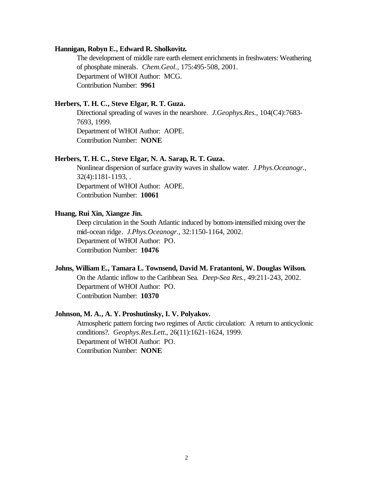#### **Hannigan, Robyn E., Edward R. Sholkovitz.**

The development of middle rare earth element enrichments in freshwaters: Weathering of phosphate minerals. *Chem.Geol.*, 175:495-508, 2001. Department of WHOI Author: MCG. Contribution Number: **9961**

## **Herbers, T. H. C., Steve Elgar, R. T. Guza.**

Directional spreading of waves in the nearshore. *J.Geophys.Res.*, 104(C4):7683- 7693, 1999. Department of WHOI Author: AOPE. Contribution Number: **NONE**

#### **Herbers, T. H. C., Steve Elgar, N. A. Sarap, R. T. Guza.**

Nonlinear dispersion of surface gravity waves in shallow water. *J.Phys.Oceanogr.*, 32(4):1181-1193, . Department of WHOI Author: AOPE. Contribution Number: **10061**

## **Huang, Rui Xin, Xiangze Jin.**

Deep circulation in the South Atlantic induced by bottom-intensified mixing over the mid-ocean ridge. *J.Phys.Oceanogr.*, 32:1150-1164, 2002. Department of WHOI Author: PO. Contribution Number: **10476**

## **Johns, William E., Tamara L. Townsend, David M. Fratantoni, W. Douglas Wilson.**

On the Atlantic inflow to the Caribbean Sea. *Deep-Sea Res.*, 49:211-243, 2002. Department of WHOI Author: PO. Contribution Number: **10370**

#### **Johnson, M. A., A. Y. Proshutinsky, I. V. Polyakov.**

Atmospheric pattern forcing two regimes of Arctic circulation: A return to anticyclonic conditions?. *Geophys.Res.Lett.*, 26(11):1621-1624, 1999. Department of WHOI Author: PO. Contribution Number: **NONE**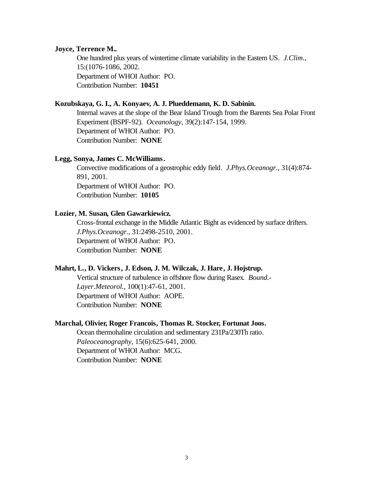#### **Joyce, Terrence M..**

One hundred plus years of wintertime climate variability in the Eastern US. *J.Clim.*, 15:(1076-1086, 2002. Department of WHOI Author: PO. Contribution Number: **10451**

## **Kozubskaya, G. I., A. Konyaev, A. J. Plueddemann, K. D. Sabinin.**

Internal waves at the slope of the Bear Island Trough from the Barents Sea Polar Front Experiment (BSPF-92). *Oceanology*, 39(2):147-154, 1999. Department of WHOI Author: PO. Contribution Number: **NONE**

#### **Legg, Sonya, James C. McWilliams.**

Convective modifications of a geostrophic eddy field. *J.Phys.Oceanogr.*, 31(4):874- 891, 2001. Department of WHOI Author: PO. Contribution Number: **10105**

# **Lozier, M. Susan, Glen Gawarkiewicz.**

Cross-frontal exchange in the Middle Atlantic Bight as evidenced by surface drifters. *J.Phys.Oceanogr.*, 31:2498-2510, 2001. Department of WHOI Author: PO. Contribution Number: **NONE**

## **Mahrt, L., D. Vickers, J. Edson, J. M. Wilczak, J. Hare, J. Hojstrup.**

Vertical structure of turbulence in offshore flow during Rasex. *Bound.- Layer.Meteorol.*, 100(1):47-61, 2001. Department of WHOI Author: AOPE. Contribution Number: **NONE**

## **Marchal, Olivier, Roger Francois, Thomas R. Stocker, Fortunat Joos.**

Ocean thermohaline circulation and sedimentary 231Pa/230Th ratio. *Paleoceanography*, 15(6):625-641, 2000. Department of WHOI Author: MCG. Contribution Number: **NONE**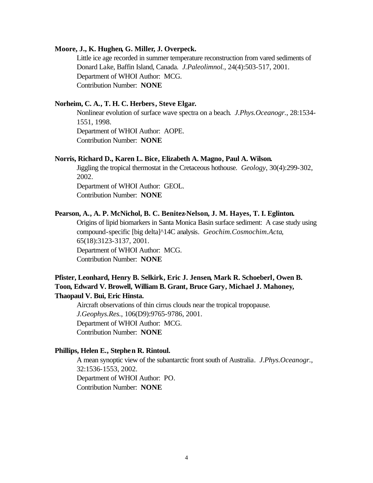#### **Moore, J., K. Hughen, G. Miller, J. Overpeck.**

Little ice age recorded in summer temperature reconstruction from vared sediments of Donard Lake, Baffin Island, Canada. *J.Paleolimnol.*, 24(4):503-517, 2001. Department of WHOI Author: MCG. Contribution Number: **NONE**

# **Norheim, C. A., T. H. C. Herbers, Steve Elgar.**

Nonlinear evolution of surface wave spectra on a beach. *J.Phys.Oceanogr.*, 28:1534- 1551, 1998. Department of WHOI Author: AOPE. Contribution Number: **NONE**

#### **Norris, Richard D., Karen L. Bice, Elizabeth A. Magno, Paul A. Wilson.**

Jiggling the tropical thermostat in the Cretaceous hothouse. *Geology*, 30(4):299-302, 2002. Department of WHOI Author: GEOL. Contribution Number: **NONE**

#### **Pearson, A., A. P. McNichol, B. C. Benitez-Nelson, J. M. Hayes, T. I. Eglinton.**

Origins of lipid biomarkers in Santa Monica Basin surface sediment: A case study using compound-specific [big delta]^14C analysis. *Geochim.Cosmochim.Acta*, 65(18):3123-3137, 2001. Department of WHOI Author: MCG. Contribution Number: **NONE**

# **Pfister, Leonhard, Henry B. Selkirk, Eric J. Jensen, Mark R. Schoeberl, Owen B. Toon, Edward V. Browell, William B. Grant, Bruce Gary, Michael J. Mahoney, Thaopaul V. Bui, Eric Hinsta.**

Aircraft observations of thin cirrus clouds near the tropical tropopause. *J.Geophys.Res.*, 106(D9):9765-9786, 2001. Department of WHOI Author: MCG. Contribution Number: **NONE**

# **Phillips, Helen E., Stephen R. Rintoul.**

A mean synoptic view of the subantarctic front south of Australia. *J.Phys.Oceanogr.*, 32:1536-1553, 2002. Department of WHOI Author: PO. Contribution Number: **NONE**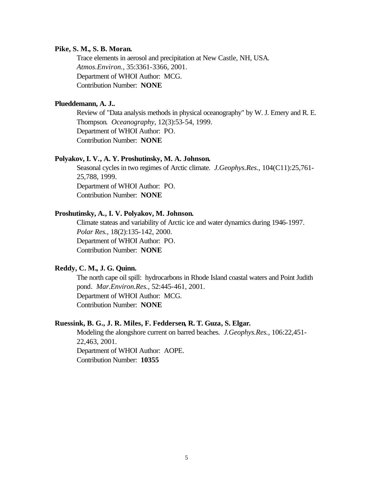#### **Pike, S. M., S. B. Moran.**

Trace elements in aerosol and precipitation at New Castle, NH, USA. *Atmos.Environ.*, 35:3361-3366, 2001. Department of WHOI Author: MCG. Contribution Number: **NONE**

# **Plueddemann, A. J..**

Review of "Data analysis methods in physical oceanography" by W. J. Emery and R. E. Thompson. *Oceanography*, 12(3):53-54, 1999. Department of WHOI Author: PO. Contribution Number: **NONE**

## **Polyakov, I. V., A. Y. Proshutinsky, M. A. Johnson.**

Seasonal cycles in two regimes of Arctic climate. *J.Geophys.Res.*, 104(C11):25,761- 25,788, 1999. Department of WHOI Author: PO. Contribution Number: **NONE**

#### **Proshutinsky, A., I. V. Polyakov, M. Johnson.**

Climate stateas and variability of Arctic ice and water dynamics during 1946-1997. *Polar Res.*, 18(2):135-142, 2000. Department of WHOI Author: PO. Contribution Number: **NONE**

# **Reddy, C. M., J. G. Quinn.**

The north cape oil spill: hydrocarbons in Rhode Island coastal waters and Point Judith pond. *Mar.Environ.Res.*, 52:445-461, 2001. Department of WHOI Author: MCG. Contribution Number: **NONE**

#### **Ruessink, B. G., J. R. Miles, F. Feddersen, R. T. Guza, S. Elgar.**

Modeling the alongshore current on barred beaches. *J.Geophys.Res.*, 106:22,451- 22,463, 2001. Department of WHOI Author: AOPE. Contribution Number: **10355**